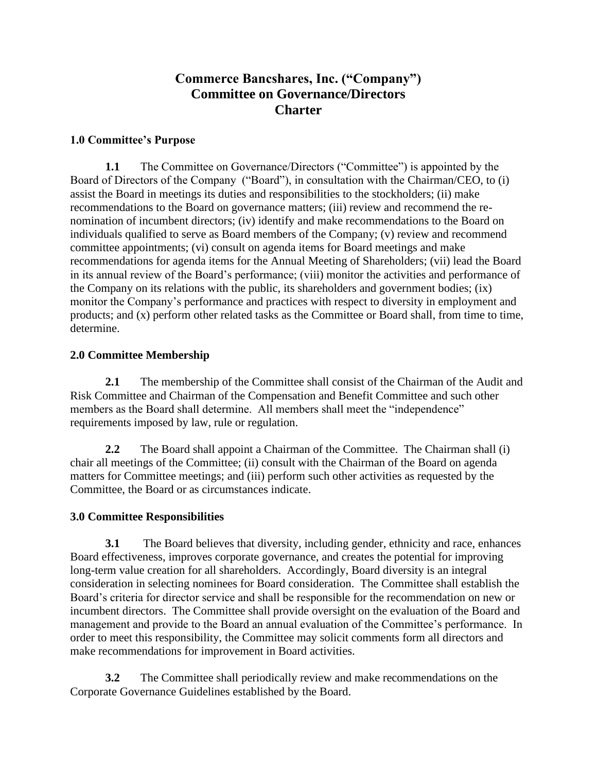# **Commerce Bancshares, Inc. ("Company") Committee on Governance/Directors Charter**

#### **1.0 Committee's Purpose**

**1.1** The Committee on Governance/Directors ("Committee") is appointed by the Board of Directors of the Company ("Board"), in consultation with the Chairman/CEO, to (i) assist the Board in meetings its duties and responsibilities to the stockholders; (ii) make recommendations to the Board on governance matters; (iii) review and recommend the renomination of incumbent directors; (iv) identify and make recommendations to the Board on individuals qualified to serve as Board members of the Company; (v) review and recommend committee appointments; (vi) consult on agenda items for Board meetings and make recommendations for agenda items for the Annual Meeting of Shareholders; (vii) lead the Board in its annual review of the Board's performance; (viii) monitor the activities and performance of the Company on its relations with the public, its shareholders and government bodies; (ix) monitor the Company's performance and practices with respect to diversity in employment and products; and (x) perform other related tasks as the Committee or Board shall, from time to time, determine.

#### **2.0 Committee Membership**

**2.1** The membership of the Committee shall consist of the Chairman of the Audit and Risk Committee and Chairman of the Compensation and Benefit Committee and such other members as the Board shall determine. All members shall meet the "independence" requirements imposed by law, rule or regulation.

**2.2** The Board shall appoint a Chairman of the Committee. The Chairman shall (i) chair all meetings of the Committee; (ii) consult with the Chairman of the Board on agenda matters for Committee meetings; and (iii) perform such other activities as requested by the Committee, the Board or as circumstances indicate.

## **3.0 Committee Responsibilities**

**3.1** The Board believes that diversity, including gender, ethnicity and race, enhances Board effectiveness, improves corporate governance, and creates the potential for improving long-term value creation for all shareholders. Accordingly, Board diversity is an integral consideration in selecting nominees for Board consideration. The Committee shall establish the Board's criteria for director service and shall be responsible for the recommendation on new or incumbent directors. The Committee shall provide oversight on the evaluation of the Board and management and provide to the Board an annual evaluation of the Committee's performance. In order to meet this responsibility, the Committee may solicit comments form all directors and make recommendations for improvement in Board activities.

**3.2** The Committee shall periodically review and make recommendations on the Corporate Governance Guidelines established by the Board.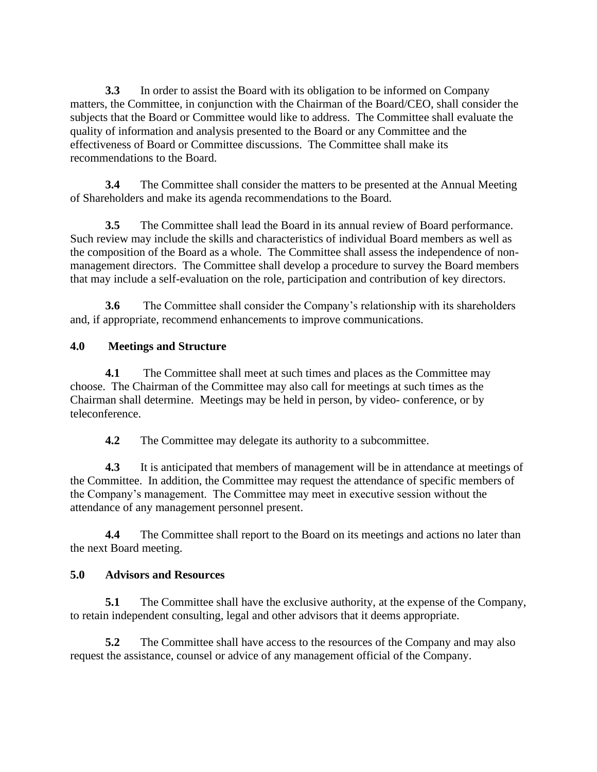**3.3** In order to assist the Board with its obligation to be informed on Company matters, the Committee, in conjunction with the Chairman of the Board/CEO, shall consider the subjects that the Board or Committee would like to address. The Committee shall evaluate the quality of information and analysis presented to the Board or any Committee and the effectiveness of Board or Committee discussions. The Committee shall make its recommendations to the Board.

**3.4** The Committee shall consider the matters to be presented at the Annual Meeting of Shareholders and make its agenda recommendations to the Board.

**3.5** The Committee shall lead the Board in its annual review of Board performance. Such review may include the skills and characteristics of individual Board members as well as the composition of the Board as a whole. The Committee shall assess the independence of nonmanagement directors. The Committee shall develop a procedure to survey the Board members that may include a self-evaluation on the role, participation and contribution of key directors.

**3.6** The Committee shall consider the Company's relationship with its shareholders and, if appropriate, recommend enhancements to improve communications.

## **4.0 Meetings and Structure**

**4.1** The Committee shall meet at such times and places as the Committee may choose. The Chairman of the Committee may also call for meetings at such times as the Chairman shall determine. Meetings may be held in person, by video- conference, or by teleconference.

**4.2** The Committee may delegate its authority to a subcommittee.

**4.3** It is anticipated that members of management will be in attendance at meetings of the Committee. In addition, the Committee may request the attendance of specific members of the Company's management. The Committee may meet in executive session without the attendance of any management personnel present.

**4.4** The Committee shall report to the Board on its meetings and actions no later than the next Board meeting.

## **5.0 Advisors and Resources**

**5.1** The Committee shall have the exclusive authority, at the expense of the Company, to retain independent consulting, legal and other advisors that it deems appropriate.

**5.2** The Committee shall have access to the resources of the Company and may also request the assistance, counsel or advice of any management official of the Company.